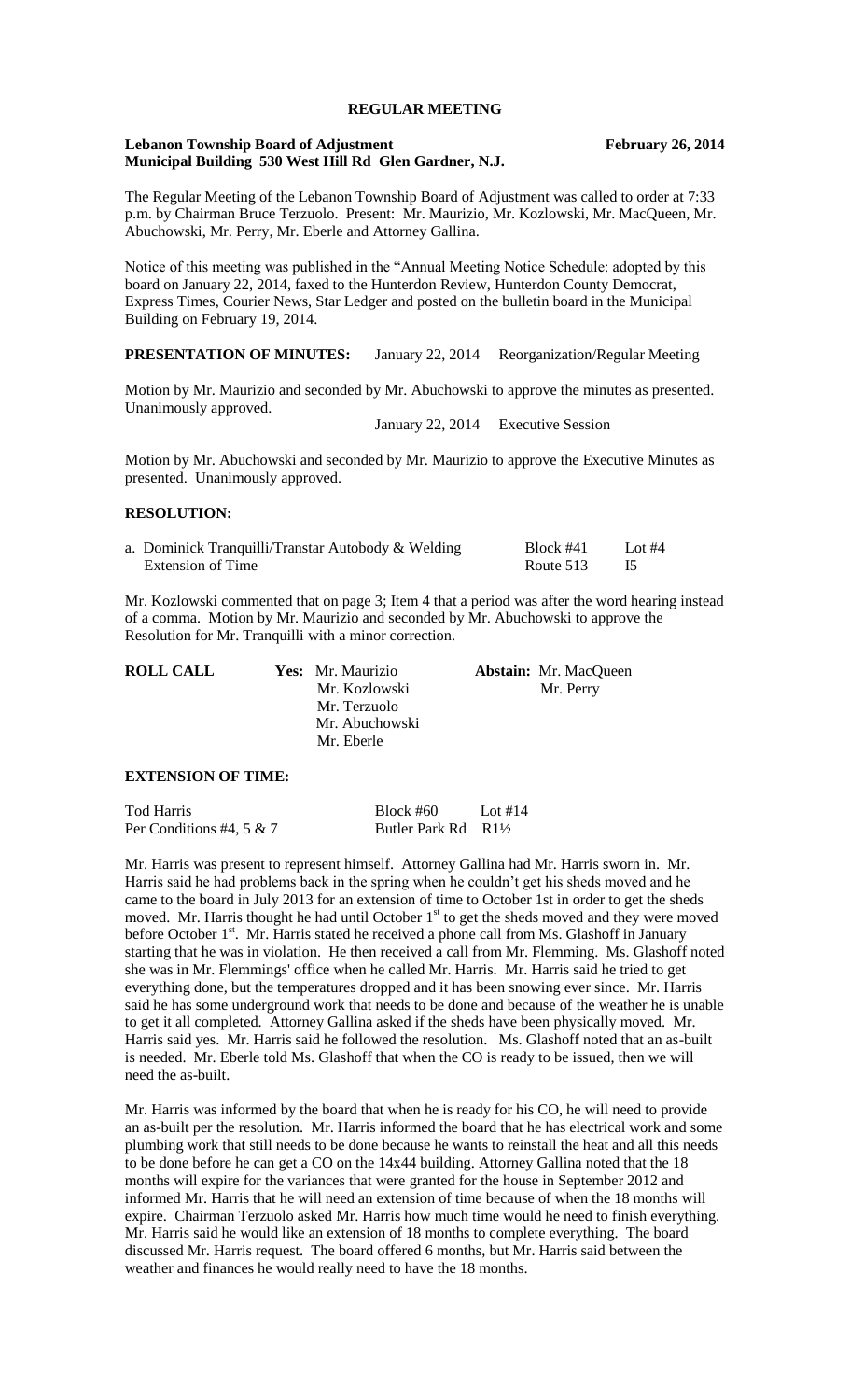# **REGULAR MEETING**

### **Lebanon Township Board of Adjustment February 26, 2014 Municipal Building 530 West Hill Rd Glen Gardner, N.J.**

The Regular Meeting of the Lebanon Township Board of Adjustment was called to order at 7:33 p.m. by Chairman Bruce Terzuolo. Present: Mr. Maurizio, Mr. Kozlowski, Mr. MacQueen, Mr. Abuchowski, Mr. Perry, Mr. Eberle and Attorney Gallina.

Notice of this meeting was published in the "Annual Meeting Notice Schedule: adopted by this board on January 22, 2014, faxed to the Hunterdon Review, Hunterdon County Democrat, Express Times, Courier News, Star Ledger and posted on the bulletin board in the Municipal Building on February 19, 2014.

**PRESENTATION OF MINUTES:** January 22, 2014 Reorganization/Regular Meeting

Motion by Mr. Maurizio and seconded by Mr. Abuchowski to approve the minutes as presented. Unanimously approved.

January 22, 2014 Executive Session

Motion by Mr. Abuchowski and seconded by Mr. Maurizio to approve the Executive Minutes as presented. Unanimously approved.

### **RESOLUTION:**

| a. Dominick Tranquilli/Transtar Autobody & Welding | $Block$ #41 | Lot $#4$ |
|----------------------------------------------------|-------------|----------|
| Extension of Time                                  | Route 513   |          |

Mr. Kozlowski commented that on page 3; Item 4 that a period was after the word hearing instead of a comma. Motion by Mr. Maurizio and seconded by Mr. Abuchowski to approve the Resolution for Mr. Tranquilli with a minor correction.

|                |                   | <b>Abstain:</b> Mr. MacQueen |
|----------------|-------------------|------------------------------|
| Mr. Kozlowski  |                   | Mr. Perry                    |
| Mr. Terzuolo   |                   |                              |
| Mr. Abuchowski |                   |                              |
| Mr. Eberle     |                   |                              |
|                | Yes: Mr. Maurizio |                              |

## **EXTENSION OF TIME:**

| Tod Harris               | $Block \#60$       | Lot #14 |
|--------------------------|--------------------|---------|
| Per Conditions #4, 5 & 7 | Butler Park Rd R1½ |         |

Mr. Harris was present to represent himself. Attorney Gallina had Mr. Harris sworn in. Mr. Harris said he had problems back in the spring when he couldn't get his sheds moved and he came to the board in July 2013 for an extension of time to October 1st in order to get the sheds moved. Mr. Harris thought he had until October 1<sup>st</sup> to get the sheds moved and they were moved before October 1<sup>st</sup>. Mr. Harris stated he received a phone call from Ms. Glashoff in January starting that he was in violation. He then received a call from Mr. Flemming. Ms. Glashoff noted she was in Mr. Flemmings' office when he called Mr. Harris. Mr. Harris said he tried to get everything done, but the temperatures dropped and it has been snowing ever since. Mr. Harris said he has some underground work that needs to be done and because of the weather he is unable to get it all completed. Attorney Gallina asked if the sheds have been physically moved. Mr. Harris said yes. Mr. Harris said he followed the resolution. Ms. Glashoff noted that an as-built is needed. Mr. Eberle told Ms. Glashoff that when the CO is ready to be issued, then we will need the as-built.

Mr. Harris was informed by the board that when he is ready for his CO, he will need to provide an as-built per the resolution. Mr. Harris informed the board that he has electrical work and some plumbing work that still needs to be done because he wants to reinstall the heat and all this needs to be done before he can get a CO on the 14x44 building. Attorney Gallina noted that the 18 months will expire for the variances that were granted for the house in September 2012 and informed Mr. Harris that he will need an extension of time because of when the 18 months will expire. Chairman Terzuolo asked Mr. Harris how much time would he need to finish everything. Mr. Harris said he would like an extension of 18 months to complete everything. The board discussed Mr. Harris request. The board offered 6 months, but Mr. Harris said between the weather and finances he would really need to have the 18 months.